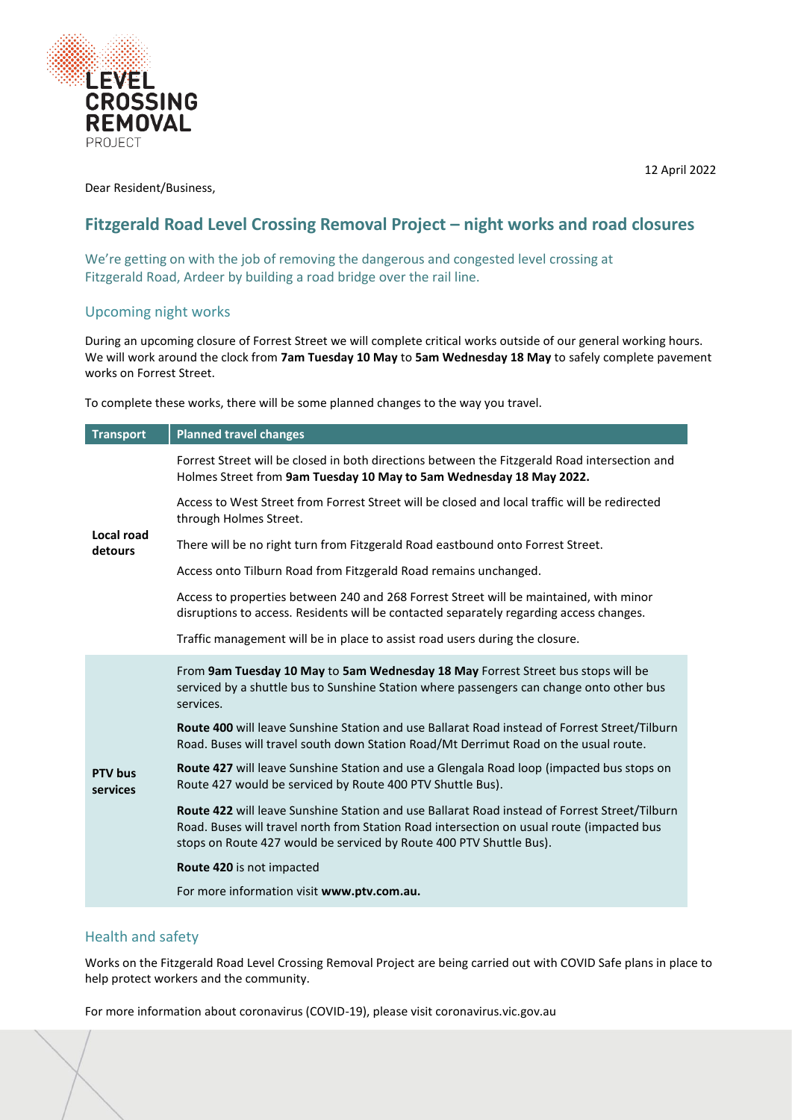

Dear Resident/Business,

# **Fitzgerald Road Level Crossing Removal Project – night works and road closures**

We're getting on with the job of removing the dangerous and congested level crossing at Fitzgerald Road, Ardeer by building a road bridge over the rail line.

# Upcoming night works

During an upcoming closure of Forrest Street we will complete critical works outside of our general working hours. We will work around the clock from **7am Tuesday 10 May** to **5am Wednesday 18 May** to safely complete pavement works on Forrest Street.

To complete these works, there will be some planned changes to the way you travel.

| <b>Transport</b>           | <b>Planned travel changes</b>                                                                                                                                                                                                                                     |
|----------------------------|-------------------------------------------------------------------------------------------------------------------------------------------------------------------------------------------------------------------------------------------------------------------|
| Local road<br>detours      | Forrest Street will be closed in both directions between the Fitzgerald Road intersection and<br>Holmes Street from 9am Tuesday 10 May to 5am Wednesday 18 May 2022.                                                                                              |
|                            | Access to West Street from Forrest Street will be closed and local traffic will be redirected<br>through Holmes Street.                                                                                                                                           |
|                            | There will be no right turn from Fitzgerald Road eastbound onto Forrest Street.                                                                                                                                                                                   |
|                            | Access onto Tilburn Road from Fitzgerald Road remains unchanged.                                                                                                                                                                                                  |
|                            | Access to properties between 240 and 268 Forrest Street will be maintained, with minor<br>disruptions to access. Residents will be contacted separately regarding access changes.                                                                                 |
|                            | Traffic management will be in place to assist road users during the closure.                                                                                                                                                                                      |
| <b>PTV</b> bus<br>services | From 9am Tuesday 10 May to 5am Wednesday 18 May Forrest Street bus stops will be<br>serviced by a shuttle bus to Sunshine Station where passengers can change onto other bus<br>services.                                                                         |
|                            | Route 400 will leave Sunshine Station and use Ballarat Road instead of Forrest Street/Tilburn<br>Road. Buses will travel south down Station Road/Mt Derrimut Road on the usual route.                                                                             |
|                            | Route 427 will leave Sunshine Station and use a Glengala Road loop (impacted bus stops on<br>Route 427 would be serviced by Route 400 PTV Shuttle Bus).                                                                                                           |
|                            | Route 422 will leave Sunshine Station and use Ballarat Road instead of Forrest Street/Tilburn<br>Road. Buses will travel north from Station Road intersection on usual route (impacted bus<br>stops on Route 427 would be serviced by Route 400 PTV Shuttle Bus). |
|                            | Route 420 is not impacted                                                                                                                                                                                                                                         |
|                            | For more information visit www.ptv.com.au.                                                                                                                                                                                                                        |
|                            |                                                                                                                                                                                                                                                                   |

## Health and safety

Works on the Fitzgerald Road Level Crossing Removal Project are being carried out with COVID Safe plans in place to help protect workers and the community.

For more information about coronavirus (COVID-19), please visit coronavirus.vic.gov.au

12 April 2022